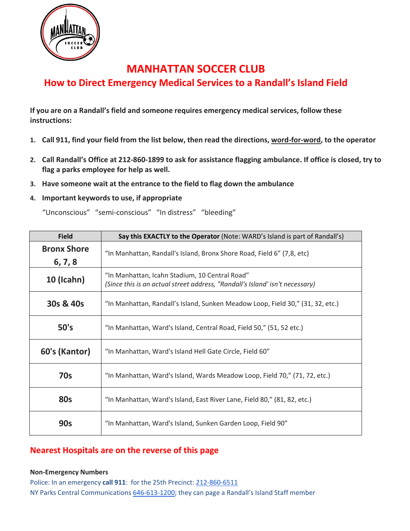

# **MANHATTAN SOCCER CLUB**

## **How to Direct Emergency Medical Services to a Randall's Island Field**

**If you are on a Randall's field and someone requires emergency medical services, follow these instructions:**

- 1. Call 911, find your field from the list below, then read the directions, word-for-word, to the operator
- **2. Call Randall's Office at 212-860-1899 to ask for assistance flagging ambulance. If office is closed, try to flag a parks employee for help as well.**
- **3. Have someone wait at the entrance to the field to flag down the ambulance**

### **4. Important keywords to use, if appropriate**

"Unconscious" "semi‐conscious" "In distress" "bleeding"

| <b>Field</b>                  | Say this EXACTLY to the Operator (Note: WARD's Island is part of Randall's)                                                    |
|-------------------------------|--------------------------------------------------------------------------------------------------------------------------------|
| <b>Bronx Shore</b><br>6, 7, 8 | "In Manhattan, Randall's Island, Bronx Shore Road, Field 6" (7,8, etc)                                                         |
| <b>10 (Icahn)</b>             | "In Manhattan, Icahn Stadium, 10 Central Road"<br>(Since this is an actual street address, "Randall's Island' isn't necessary) |
| 30s & 40s                     | "In Manhattan, Randall's Island, Sunken Meadow Loop, Field 30," (31, 32, etc.)                                                 |
| 50's                          | "In Manhattan, Ward's Island, Central Road, Field 50," (51, 52 etc.)                                                           |
| 60's (Kantor)                 | "In Manhattan, Ward's Island Hell Gate Circle, Field 60"                                                                       |
| <b>70s</b>                    | "In Manhattan, Ward's Island, Wards Meadow Loop, Field 70," (71, 72, etc.)                                                     |
| <b>80s</b>                    | "In Manhattan, Ward's Island, East River Lane, Field 80," (81, 82, etc.)                                                       |
| <b>90s</b>                    | "In Manhattan, Ward's Island, Sunken Garden Loop, Field 90"                                                                    |

### **Nearest Hospitals are on the reverse of this page**

#### **Non‐Emergency Numbers**

Police: In an emergency **call 911**: for the 25th Precinct: 212‐860‐6511 NY Parks Central Communications 646-613-1200; they can page a Randall's Island Staff member